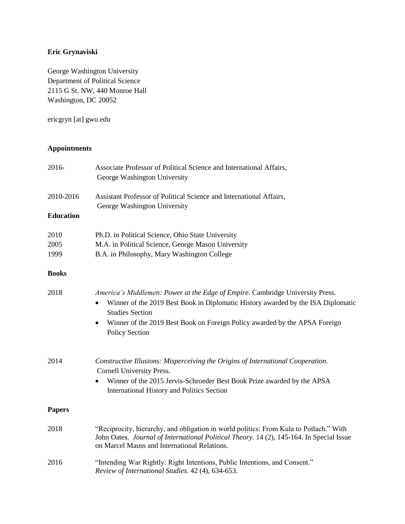# **Eric Grynaviski**

George Washington University Department of Political Science 2115 G St. NW, 440 Monroe Hall Washington, DC 20052

ericgryn [at] gwu.edu

### **Appointments**

| 2016-            | Associate Professor of Political Science and International Affairs,<br>George Washington University                                                                                                                                                                                                |  |
|------------------|----------------------------------------------------------------------------------------------------------------------------------------------------------------------------------------------------------------------------------------------------------------------------------------------------|--|
| 2010-2016        | Assistant Professor of Political Science and International Affairs,<br>George Washington University                                                                                                                                                                                                |  |
| <b>Education</b> |                                                                                                                                                                                                                                                                                                    |  |
| 2010             | Ph.D. in Political Science, Ohio State University                                                                                                                                                                                                                                                  |  |
| 2005             | M.A. in Political Science, George Mason University                                                                                                                                                                                                                                                 |  |
| 1999             | B.A. in Philosophy, Mary Washington College                                                                                                                                                                                                                                                        |  |
| <b>Books</b>     |                                                                                                                                                                                                                                                                                                    |  |
| 2018             | America's Middlemen: Power at the Edge of Empire. Cambridge University Press.<br>Winner of the 2019 Best Book in Diplomatic History awarded by the ISA Diplomatic<br><b>Studies Section</b><br>Winner of the 2019 Best Book on Foreign Policy awarded by the APSA Foreign<br><b>Policy Section</b> |  |
| 2014             | Constructive Illusions: Misperceiving the Origins of International Cooperation.<br>Cornell University Press.<br>Winner of the 2015 Jervis-Schroeder Best Book Prize awarded by the APSA<br>International History and Politics Section                                                              |  |
| <b>Papers</b>    |                                                                                                                                                                                                                                                                                                    |  |
| 2018             | "Reciprocity, hierarchy, and obligation in world politics: From Kula to Potlach." With<br>John Oates. Journal of International Political Theory. 14 (2), 145-164. In Special Issue<br>on Marcel Mauss and International Relations.                                                                 |  |
| 2016             | "Intending War Rightly: Right Intentions, Public Intentions, and Consent."<br>Review of International Studies. 42 (4), 634-653.                                                                                                                                                                    |  |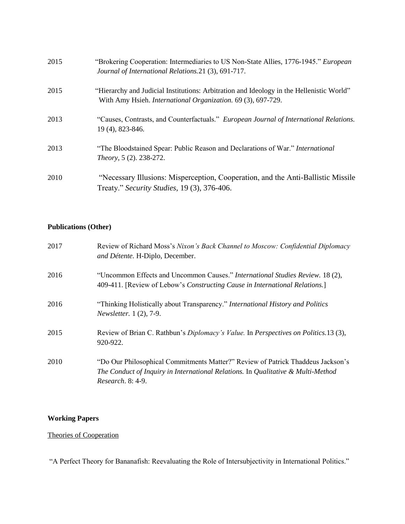| 2015 | "Brokering Cooperation: Intermediaries to US Non-State Allies, 1776-1945." <i>European</i><br>Journal of International Relations. 21 (3), 691-717.              |
|------|-----------------------------------------------------------------------------------------------------------------------------------------------------------------|
| 2015 | "Hierarchy and Judicial Institutions: Arbitration and Ideology in the Hellenistic World"<br>With Amy Hsieh. <i>International Organization.</i> 69 (3), 697-729. |
| 2013 | "Causes, Contrasts, and Counterfactuals." European Journal of International Relations.<br>19 (4), 823-846.                                                      |
| 2013 | "The Bloodstained Spear: Public Reason and Declarations of War." International<br><i>Theory</i> , 5 (2). 238-272.                                               |
| 2010 | "Necessary Illusions: Misperception, Cooperation, and the Anti-Ballistic Missile<br>Treaty." Security Studies, 19 (3), 376-406.                                 |

# **Publications (Other)**

| 2017 | Review of Richard Moss's Nixon's Back Channel to Moscow: Confidential Diplomacy<br>and Détente. H-Diplo, December.                                                                              |
|------|-------------------------------------------------------------------------------------------------------------------------------------------------------------------------------------------------|
| 2016 | "Uncommon Effects and Uncommon Causes." International Studies Review. 18 (2),<br>409-411. [Review of Lebow's Constructing Cause in International Relations.]                                    |
| 2016 | "Thinking Holistically about Transparency." International History and Politics<br><i>Newsletter.</i> 1 (2), 7-9.                                                                                |
| 2015 | Review of Brian C. Rathbun's <i>Diplomacy's Value</i> . In <i>Perspectives on Politics</i> .13 (3),<br>920-922.                                                                                 |
| 2010 | "Do Our Philosophical Commitments Matter?" Review of Patrick Thaddeus Jackson's<br>The Conduct of Inquiry in International Relations. In Qualitative & Multi-Method<br><i>Research.</i> 8: 4-9. |

### **Working Papers**

# Theories of Cooperation

"A Perfect Theory for Bananafish: Reevaluating the Role of Intersubjectivity in International Politics."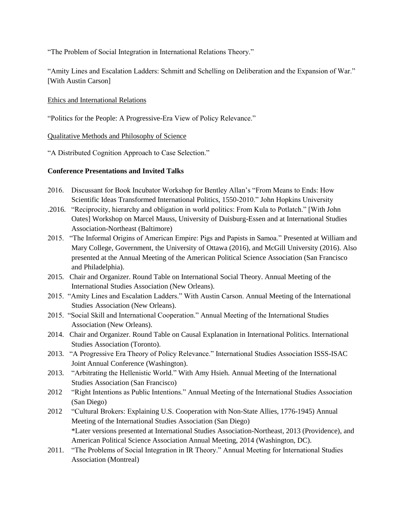"The Problem of Social Integration in International Relations Theory."

"Amity Lines and Escalation Ladders: Schmitt and Schelling on Deliberation and the Expansion of War." [With Austin Carson]

### Ethics and International Relations

"Politics for the People: A Progressive-Era View of Policy Relevance."

#### Qualitative Methods and Philosophy of Science

"A Distributed Cognition Approach to Case Selection."

### **Conference Presentations and Invited Talks**

- 2016. Discussant for Book Incubator Workshop for Bentley Allan's "From Means to Ends: How Scientific Ideas Transformed International Politics, 1550-2010." John Hopkins University
- .2016. "Reciprocity, hierarchy and obligation in world politics: From Kula to Potlatch." [With John Oates] Workshop on Marcel Mauss, University of Duisburg-Essen and at International Studies Association-Northeast (Baltimore)
- 2015. "The Informal Origins of American Empire: Pigs and Papists in Samoa." Presented at William and Mary College, Government, the University of Ottawa (2016), and McGill University (2016). Also presented at the Annual Meeting of the American Political Science Association (San Francisco and Philadelphia).
- 2015. Chair and Organizer. Round Table on International Social Theory. Annual Meeting of the International Studies Association (New Orleans).
- 2015. "Amity Lines and Escalation Ladders." With Austin Carson. Annual Meeting of the International Studies Association (New Orleans).
- 2015. "Social Skill and International Cooperation." Annual Meeting of the International Studies Association (New Orleans).
- 2014. Chair and Organizer. Round Table on Causal Explanation in International Politics. International Studies Association (Toronto).
- 2013. "A Progressive Era Theory of Policy Relevance." International Studies Association ISSS-ISAC Joint Annual Conference (Washington).
- 2013. "Arbitrating the Hellenistic World." With Amy Hsieh. Annual Meeting of the International Studies Association (San Francisco)
- 2012 "Right Intentions as Public Intentions." Annual Meeting of the International Studies Association (San Diego)
- 2012 "Cultural Brokers: Explaining U.S. Cooperation with Non-State Allies, 1776-1945) Annual Meeting of the International Studies Association (San Diego) \*Later versions presented at International Studies Association-Northeast*,* 2013 (Providence), and American Political Science Association Annual Meeting, 2014 (Washington, DC).
- 2011. "The Problems of Social Integration in IR Theory." Annual Meeting for International Studies Association (Montreal)